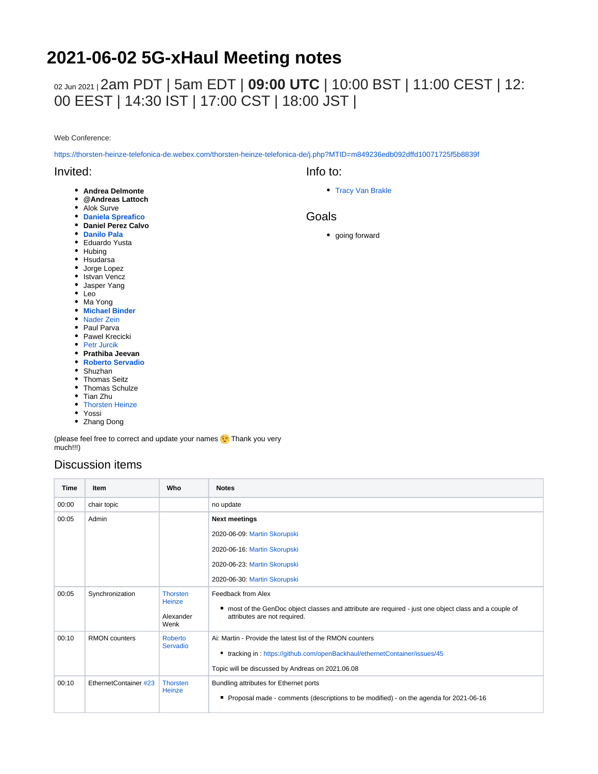# **2021-06-02 5G-xHaul Meeting notes**

## 02 Jun 2021 <sup>|</sup>2am PDT | 5am EDT | **09:00 UTC** | 10:00 BST | 11:00 CEST | 12: 00 EEST | 14:30 IST | 17:00 CST | 18:00 JST |

Web Conference:

<https://thorsten-heinze-telefonica-de.webex.com/thorsten-heinze-telefonica-de/j.php?MTID=m849236edb092dffd10071725f5b8839f>

#### Invited:

- **Andrea Delmonte**
- **@Andreas Lattoch**
- Alok Surve
- **[Daniela Spreafico](https://wiki.opennetworking.org/display/~spreafico.daniela)**
- **Daniel Perez Calvo**
- **[Danilo Pala](https://wiki.opennetworking.org/display/~danilo.pala)**
- Eduardo Yusta
- Hubing
- Hsudarsa
- Jorge Lopez • Istvan Vencz
- 
- Jasper Yang
- Leo • Ma Yong
- **[Michael Binder](https://wiki.opennetworking.org/display/~michael.binder)**
- [Nader Zein](https://wiki.opennetworking.org/display/~nader.zein)
- Paul Parva
- Pawel Krecicki
- [Petr Jurcik](https://wiki.opennetworking.org/display/~petr.jurcik)
- **Prathiba Jeevan**
- **[Roberto Servadio](https://wiki.opennetworking.org/display/~roberto.servadio)**
- Shuzhan
- Thomas Seitz
- Thomas Schulze
- Tian Zhu
- [Thorsten Heinze](https://wiki.opennetworking.org/display/~thorsten.heinze)
- Yossi
- Zhang Dong

(please feel free to correct and update your names **to** Thank you very much!!!)

#### Discussion items

| Time  | Item                  | Who                                            | <b>Notes</b>                                                                                                                                                                                 |
|-------|-----------------------|------------------------------------------------|----------------------------------------------------------------------------------------------------------------------------------------------------------------------------------------------|
| 00:00 | chair topic           |                                                | no update                                                                                                                                                                                    |
| 00:05 | Admin                 |                                                | <b>Next meetings</b>                                                                                                                                                                         |
|       |                       |                                                | 2020-06-09: Martin Skorupski                                                                                                                                                                 |
|       |                       |                                                | 2020-06-16: Martin Skorupski                                                                                                                                                                 |
|       |                       |                                                | 2020-06-23: Martin Skorupski                                                                                                                                                                 |
|       |                       |                                                | 2020-06-30: Martin Skorupski                                                                                                                                                                 |
| 00:05 | Synchronization       | <b>Thorsten</b><br>Heinze<br>Alexander<br>Wenk | Feedback from Alex<br>■ most of the GenDoc object classes and attribute are required - just one object class and a couple of<br>attributes are not required.                                 |
| 00:10 | <b>RMON</b> counters  | Roberto<br>Servadio                            | Ai: Martin - Provide the latest list of the RMON counters<br>• tracking in : https://github.com/openBackhaul/ethernetContainer/issues/45<br>Topic will be discussed by Andreas on 2021.06.08 |
| 00:10 | EthernetContainer #23 | <b>Thorsten</b><br>Heinze                      | Bundling attributes for Ethernet ports<br>Proposal made - comments (descriptions to be modified) - on the agenda for 2021-06-16                                                              |

• [Tracy Van Brakle](https://wiki.opennetworking.org/display/~tracyvb)

Info to:

#### Goals

• going forward